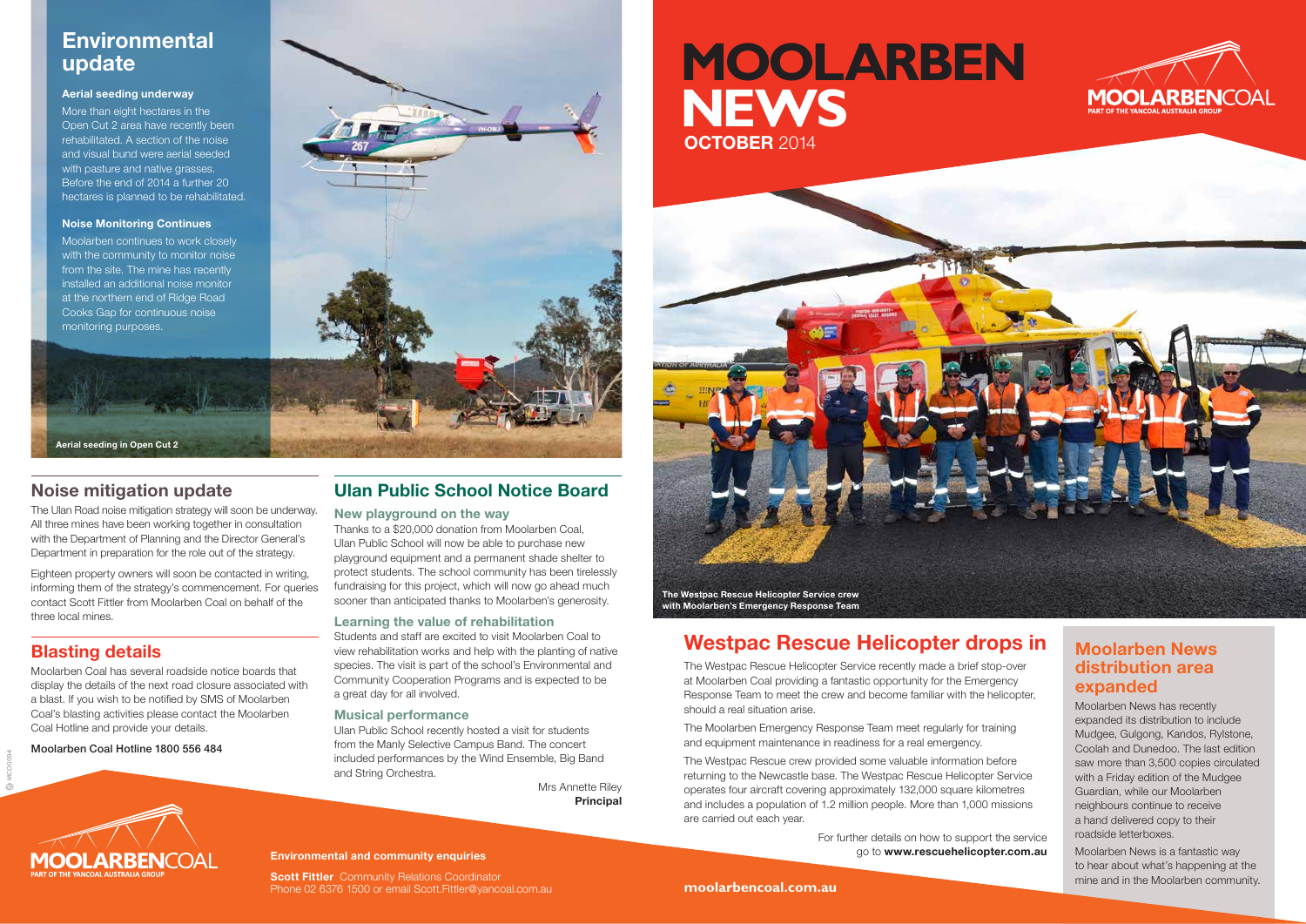MCO0094

# **Westpac Rescue Helicopter drops in**

The Westpac Rescue Helicopter Service recently made a brief stop-over at Moolarben Coal providing a fantastic opportunity for the Emergency Response Team to meet the crew and become familiar with the helicopter, should a real situation arise.

The Moolarben Emergency Response Team meet regularly for training and equipment maintenance in readiness for a real emergency.

The Westpac Rescue crew provided some valuable information before returning to the Newcastle base. The Westpac Rescue Helicopter Service operates four aircraft covering approximately 132,000 square kilometres and includes a population of 1.2 million people. More than 1,000 missions are carried out each year.

> For further details on how to support the service go to **www.rescuehelicopter.com.au**





### **Moolarben News distribution area expanded**

Moolarben News has recently expanded its distribution to include Mudgee, Gulgong, Kandos, Rylstone, Coolah and Dunedoo. The last edition saw more than 3,500 copies circulated with a Friday edition of the Mudgee Guardian, while our Moolarben neighbours continue to receive a hand delivered copy to their roadside letterboxes.

Moolarben News is a fantastic way to hear about what's happening at the mine and in the Moolarben community.

# **Noise mitigation update**

The Ulan Road noise mitigation strategy will soon be underway. All three mines have been working together in consultation with the Department of Planning and the Director General's Department in preparation for the role out of the strategy.

Eighteen property owners will soon be contacted in writing, informing them of the strategy's commencement. For queries contact Scott Fittler from Moolarben Coal on behalf of the three local mines.

# **Blasting details**

**Scott Fittler** Community Relations Coordinator Phone 02 6376 1500 or email Scott.Fittler@yancoal.com.au

Moolarben Coal has several roadside notice boards that display the details of the next road closure associated with a blast. If you wish to be notified by SMS of Moolarben Coal's blasting activities please contact the Moolarben Coal Hotline and provide your details.

Moolarben Coal Hotline 1800 556 484



### **Ulan Public School Notice Board**

#### **New playground on the way**

Thanks to a \$20,000 donation from Moolarben Coal, Ulan Public School will now be able to purchase new playground equipment and a permanent shade shelter to protect students. The school community has been tirelessly fundraising for this project, which will now go ahead much sooner than anticipated thanks to Moolarben's generosity.

### **Learning the value of rehabilitation**

Students and staff are excited to visit Moolarben Coal to view rehabilitation works and help with the planting of native species. The visit is part of the school's Environmental and Community Cooperation Programs and is expected to be a great day for all involved.

### **Musical performance**

Ulan Public School recently hosted a visit for students from the Manly Selective Campus Band. The concert included performances by the Wind Ensemble, Big Band and String Orchestra.

> Mrs Annette Riley **Principal**

# **Environmental update**

### **Aerial seeding underway**

More than eight hectares in the Open Cut 2 area have recently been rehabilitated. A section of the noise and visual bund were aerial seeded with pasture and native grasses. Before the end of 2014 a further 20 hectares is planned to be rehabilitated.

#### **Noise Monitoring Continues**

Moolarben continues to work closely with the community to monitor noise from the site. The mine has recently installed an additional noise monitor at the northern end of Ridge Road Cooks Gap for continuous noise monitoring purposes.

**Aerial seeding in Open Cut 2**

#### **Environmental and community enquiries**



# **MOOLARBEN NEWS OCTOBER** 2014